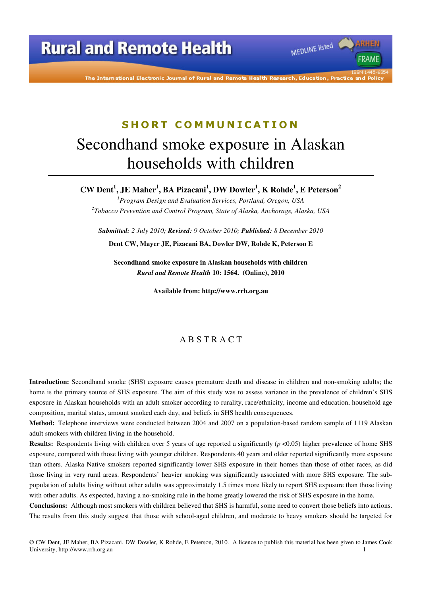The International Electronic Journal of Rural and Remote Health Research, Education, Practice

MEDLINE listed

**FRAMF** 

# **S H O R T C O M M U N I C A T I O N** Secondhand smoke exposure in Alaskan households with children

**CW Dent<sup>1</sup> , JE Maher<sup>1</sup> , BA Pizacani<sup>1</sup> , DW Dowler<sup>1</sup> , K Rohde<sup>1</sup> , E Peterson<sup>2</sup>**

*<sup>1</sup>Program Design and Evaluation Services, Portland, Oregon, USA 2 Tobacco Prevention and Control Program, State of Alaska, Anchorage, Alaska, USA* 

*Submitted: 2 July 2010; Revised: 9 October 2010; Published: 8 December 2010* 

**Dent CW, Mayer JE, Pizacani BA, Dowler DW, Rohde K, Peterson E** 

**Secondhand smoke exposure in Alaskan households with children**  *Rural and Remote Health* **10: 1564. (Online), 2010** 

**Available from: http://www.rrh.org.au** 

### A B S T R A C T

**Introduction:** Secondhand smoke (SHS) exposure causes premature death and disease in children and non-smoking adults; the home is the primary source of SHS exposure. The aim of this study was to assess variance in the prevalence of children's SHS exposure in Alaskan households with an adult smoker according to rurality, race/ethnicity, income and education, household age composition, marital status, amount smoked each day, and beliefs in SHS health consequences.

**Method:** Telephone interviews were conducted between 2004 and 2007 on a population-based random sample of 1119 Alaskan adult smokers with children living in the household.

**Results:** Respondents living with children over 5 years of age reported a significantly ( $p \le 0.05$ ) higher prevalence of home SHS exposure, compared with those living with younger children. Respondents 40 years and older reported significantly more exposure than others. Alaska Native smokers reported significantly lower SHS exposure in their homes than those of other races, as did those living in very rural areas. Respondents' heavier smoking was significantly associated with more SHS exposure. The subpopulation of adults living without other adults was approximately 1.5 times more likely to report SHS exposure than those living with other adults. As expected, having a no-smoking rule in the home greatly lowered the risk of SHS exposure in the home.

**Conclusions:** Although most smokers with children believed that SHS is harmful, some need to convert those beliefs into actions. The results from this study suggest that those with school-aged children, and moderate to heavy smokers should be targeted for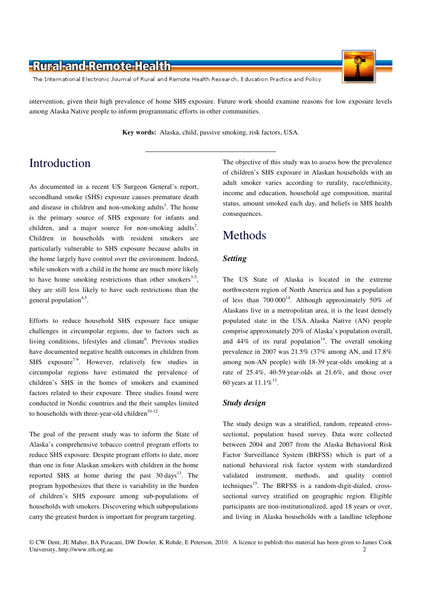The International Electronic Journal of Rural and Remote Health Research, Education Practice and Policy

intervention, given their high prevalence of home SHS exposure. Future work should examine reasons for low exposure levels among Alaska Native people to inform programmatic efforts in other communities.

**Key words:** Alaska, child, passive smoking, risk factors, USA.

# Introduction

As documented in a recent US Surgeon General's report, secondhand smoke (SHS) exposure causes premature death and disease in children and non-smoking adults<sup>1</sup>. The home is the primary source of SHS exposure for infants and children, and a major source for non-smoking adults<sup>2</sup>. Children in households with resident smokers are particularly vulnerable to SHS exposure because adults in the home largely have control over the environment. Indeed, while smokers with a child in the home are much more likely to have home smoking restrictions than other smokers<sup>3-5</sup>, they are still less likely to have such restrictions than the general population<sup>4,5</sup>.

Efforts to reduce household SHS exposure face unique challenges in circumpolar regions, due to factors such as living conditions, lifestyles and climate<sup>6</sup>. Previous studies have documented negative health outcomes in children from SHS exposure<sup>7-9</sup>. However, relatively few studies in circumpolar regions have estimated the prevalence of children's SHS in the homes of smokers and examined factors related to their exposure. Three studies found were conducted in Nordic countries and the their samples limited to households with three-year-old children $10-12$ .

The goal of the present study was to inform the State of Alaska's comprehensive tobacco control program efforts to reduce SHS exposure. Despite program efforts to date, more than one in four Alaskan smokers with children in the home reported SHS at home during the past  $30 \text{ days}^{13}$ . The program hypothesizes that there is variability in the burden of children's SHS exposure among sub-populations of households with smokers. Discovering which subpopulations carry the greatest burden is important for program targeting.

The objective of this study was to assess how the prevalence of children's SHS exposure in Alaskan households with an adult smoker varies according to rurality, race/ethnicity, income and education, household age composition, marital status, amount smoked each day, and beliefs in SHS health consequences.

### Methods

### *Setting*

The US State of Alaska is located in the extreme northwestern region of North America and has a population of less than  $700\,000^{14}$ . Although approximately 50% of Alaskans live in a metropolitan area, it is the least densely populated state in the USA. Alaska Native (AN) people comprise approximately 20% of Alaska's population overall, and  $44\%$  of its rural population<sup>14</sup>. The overall smoking prevalence in 2007 was 21.5% (37% among AN, and 17.8% among non-AN people) with 18-39 year-olds smoking at a rate of 25.4%, 40-59 year-olds at 21.6%, and those over 60 years at  $11.1\%^{13}$ .

### *Study design*

The study design was a stratified, random, repeated crosssectional, population based survey. Data were collected between 2004 and 2007 from the Alaska Behavioral Risk Factor Surveillance System (BRFSS) which is part of a national behavioral risk factor system with standardized validated instrument, methods, and quality control techniques<sup>15</sup>. The BRFSS is a random-digit-dialed, crosssectional survey stratified on geographic region. Eligible participants are non-institutionalized, aged 18 years or over, and living in Alaska households with a landline telephone

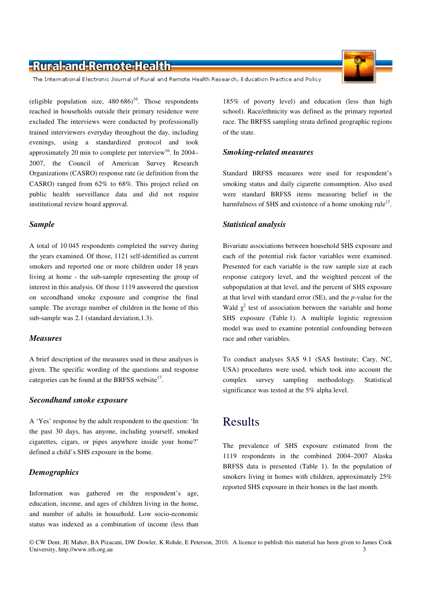The International Electronic Journal of Rural and Remote Health Research, Education Practice and Policy

(eligible population size,  $480\,686$ )<sup>16</sup>. Those respondents reached in households outside their primary residence were excluded The interviews were conducted by professionally trained interviewers everyday throughout the day, including evenings, using a standardized protocol and took approximately 20 min to complete per interview<sup>16</sup>. In 2004– 2007, the Council of American Survey Research Organizations (CASRO) response rate (ie definition from the CASRO) ranged from 62% to 68%. This project relied on public health surveillance data and did not require institutional review board approval.

#### *Sample*

A total of 10 045 respondents completed the survey during the years examined. Of those, 1121 self-identified as current smokers and reported one or more children under 18 years living at home - the sub-sample representing the group of interest in this analysis. Of those 1119 answered the question on secondhand smoke exposure and comprise the final sample. The average number of children in the home of this sub-sample was 2.1 (standard deviation,1.3).

### *Measures*

A brief description of the measures used in these analyses is given. The specific wording of the questions and response categories can be found at the BRFSS website $17$ .

### *Secondhand smoke exposure*

A 'Yes' response by the adult respondent to the question: 'In the past 30 days, has anyone, including yourself, smoked cigarettes, cigars, or pipes anywhere inside your home?' defined a child's SHS exposure in the home.

### *Demographics*

Information was gathered on the respondent's age, education, income, and ages of children living in the home, and number of adults in household. Low socio-economic status was indexed as a combination of income (less than

185% of poverty level) and education (less than high school). Race/ethnicity was defined as the primary reported race. The BRFSS sampling strata defined geographic regions of the state.

### *Smoking-related measures*

Standard BRFSS measures were used for respondent's smoking status and daily cigarette consumption. Also used were standard BRFSS items measuring belief in the harmfulness of SHS and existence of a home smoking rule<sup>17</sup>.

### *Statistical analysis*

Bivariate associations between household SHS exposure and each of the potential risk factor variables were examined. Presented for each variable is the raw sample size at each response category level, and the weighted percent of the subpopulation at that level, and the percent of SHS exposure at that level with standard error (SE), and the *p*-value for the Wald  $\chi^2$  test of association between the variable and home SHS exposure (Table 1). A multiple logistic regression model was used to examine potential confounding between race and other variables.

To conduct analyses SAS 9.1 (SAS Institute; Cary, NC, USA) procedures were used, which took into account the complex survey sampling methodology. Statistical significance was tested at the 5% alpha level.

### Results

The prevalence of SHS exposure estimated from the 1119 respondents in the combined 2004–2007 Alaska BRFSS data is presented (Table 1). In the population of smokers living in homes with children, approximately 25% reported SHS exposure in their homes in the last month.

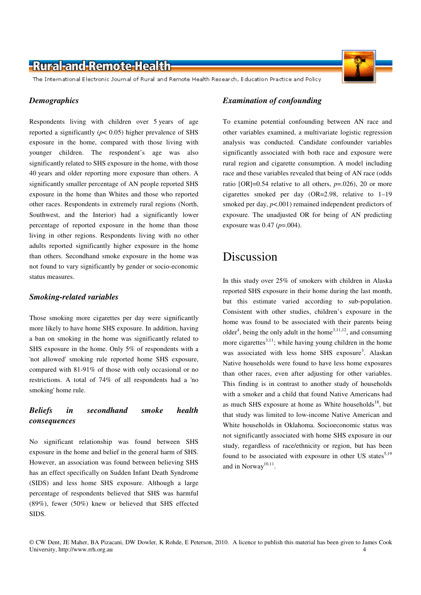The International Electronic Journal of Rural and Remote Health Research, Education Practice and Policy

#### *Demographics*

Respondents living with children over 5 years of age reported a significantly ( $p$ < 0.05) higher prevalence of SHS exposure in the home, compared with those living with younger children. The respondent's age was also significantly related to SHS exposure in the home, with those 40 years and older reporting more exposure than others. A significantly smaller percentage of AN people reported SHS exposure in the home than Whites and those who reported other races. Respondents in extremely rural regions (North, Southwest, and the Interior) had a significantly lower percentage of reported exposure in the home than those living in other regions. Respondents living with no other adults reported significantly higher exposure in the home than others. Secondhand smoke exposure in the home was not found to vary significantly by gender or socio-economic status measures.

#### *Smoking-related variables*

Those smoking more cigarettes per day were significantly more likely to have home SHS exposure. In addition, having a ban on smoking in the home was significantly related to SHS exposure in the home. Only 5% of respondents with a 'not allowed' smoking rule reported home SHS exposure, compared with 81-91% of those with only occasional or no restrictions. A total of 74% of all respondents had a 'no smoking' home rule.

### *Beliefs in secondhand smoke health consequences*

No significant relationship was found between SHS exposure in the home and belief in the general harm of SHS. However, an association was found between believing SHS has an effect specifically on Sudden Infant Death Syndrome (SIDS) and less home SHS exposure. Although a large percentage of respondents believed that SHS was harmful (89%), fewer (50%) knew or believed that SHS effected SIDS.

To examine potential confounding between AN race and other variables examined, a multivariate logistic regression analysis was conducted. Candidate confounder variables significantly associated with both race and exposure were rural region and cigarette consumption. A model including race and these variables revealed that being of AN race (odds ratio  $[OR]=0.54$  relative to all others,  $p=.026$ , 20 or more cigarettes smoked per day (OR=2.98, relative to 1–19 smoked per day,  $p$ <.001) remained independent predictors of exposure. The unadjusted OR for being of AN predicting exposure was 0.47 (*p*=.004).

### Discussion

In this study over 25% of smokers with children in Alaska reported SHS exposure in their home during the last month, but this estimate varied according to sub-population. Consistent with other studies, children's exposure in the home was found to be associated with their parents being older<sup>4</sup>, being the only adult in the home<sup>3,11,12</sup>, and consuming more cigarettes $3,11$ ; while having young children in the home was associated with less home SHS exposure<sup>3</sup>. Alaskan Native households were found to have less home exposures than other races, even after adjusting for other variables. This finding is in contrast to another study of households with a smoker and a child that found Native Americans had as much SHS exposure at home as White households<sup>18</sup>, but that study was limited to low-income Native American and White households in Oklahoma. Socioeconomic status was not significantly associated with home SHS exposure in our study, regardless of race/ethnicity or region, but has been found to be associated with exposure in other US states<sup>5,19</sup> and in Norway<sup>10,11</sup>.



<sup>©</sup> CW Dent, JE Maher, BA Pizacani, DW Dowler, K Rohde, E Peterson, 2010. A licence to publish this material has been given to James Cook University, http://www.rrh.org.au 4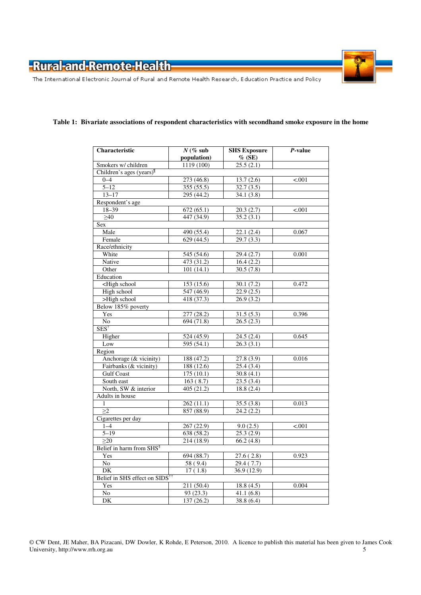The International Electronic Journal of Rural and Remote Health Research, Education Practice and Policy

### **Table 1: Bivariate associations of respondent characteristics with secondhand smoke exposure in the home**

| Characteristic                                                                    | $N$ (% sub  | <b>SHS Exposure</b> | P-value |
|-----------------------------------------------------------------------------------|-------------|---------------------|---------|
|                                                                                   | population) | $%$ (SE)            |         |
| Smokers w/ children                                                               | 1119 (100)  | 25.5(2.1)           |         |
| Children's ages (years) <sup>II</sup>                                             |             |                     |         |
| $0 - 4$                                                                           | 273 (46.8)  | 13.7(2.6)           | < .001  |
| $5 - 12$                                                                          | 355 (55.5)  | 32.7(3.5)           |         |
| $13 - 17$                                                                         | 295(44.2)   | 34.1(3.8)           |         |
| Respondent's age                                                                  |             |                     |         |
| $18 - 39$                                                                         | 672(65.1)   | 20.3(2.7)           | < .001  |
| >40                                                                               | 447 (34.9)  | 35.2(3.1)           |         |
| Sex                                                                               |             |                     |         |
| Male                                                                              | 490 (55.4)  | 22.1(2.4)           | 0.067   |
| Female                                                                            | 629(44.5)   | 29.7(3.3)           |         |
| Race/ethnicity                                                                    |             |                     |         |
| White                                                                             | 545(54.6)   | 29.4(2.7)           | 0.001   |
| Native                                                                            | 473(31.2)   | 16.4(2.2)           |         |
| Other                                                                             | 101(14.1)   | 30.5(7.8)           |         |
| Education                                                                         |             |                     |         |
| <high school<="" td=""><td>153 (15.6)</td><td>30.1(7.2)</td><td>0.472</td></high> | 153 (15.6)  | 30.1(7.2)           | 0.472   |
| High school                                                                       | 547(46.9)   | 22.9(2.5)           |         |
| >High school                                                                      | 418(37.3)   | 26.9(3.2)           |         |
| Below 185% poverty                                                                |             |                     |         |
| Yes                                                                               | 277 (28.2)  | 31.5(5.3)           | 0.396   |
| $\overline{No}$                                                                   | 694 (71.8)  | 26.5(2.3)           |         |
| $SES^{\dagger}$                                                                   |             |                     |         |
| Higher                                                                            | 524 (45.9)  | 24.5(2.4)           | 0.645   |
| Low                                                                               | 595 (54.1)  | 26.3(3.1)           |         |
| Region                                                                            |             |                     |         |
| Anchorage (& vicinity)                                                            | 188(47.2)   | 27.8(3.9)           | 0.016   |
| Fairbanks (& vicinity)                                                            | 188(12.6)   | 25.4(3.4)           |         |
| <b>Gulf Coast</b>                                                                 | 175(10.1)   | 30.8(4.1)           |         |
| South east                                                                        | 163(8.7)    | 23.5(3.4)           |         |
| North, SW & interior                                                              | 405 (21.2)  | 18.8(2.4)           |         |
| Adults in house                                                                   |             |                     |         |
| 1                                                                                 | 262(11.1)   | 35.5(3.8)           | 0.013   |
| >2                                                                                | 857 (88.9)  | 24.2(2.2)           |         |
| Cigarettes per day                                                                |             |                     |         |
| $1 - 4$                                                                           | 267 (22.9)  | 9.0(2.5)            | < .001  |
| $5 - 19$                                                                          | 638 (58.2)  | 25.3(2.9)           |         |
| $\geq$ 20                                                                         | 214(18.9)   | 66.2(4.8)           |         |
| Belief in harm from SHS <sup>§</sup>                                              |             |                     |         |
| Yes                                                                               | 694(88.7)   | 27.6(2.8)           | 0.923   |
| $\overline{No}$                                                                   | 58 (9.4)    | 29.4(7.7)           |         |
| DK                                                                                | 17(1.8)     | 36.9(12.9)          |         |
| Belief in SHS effect on SIDS <sup>††</sup>                                        |             |                     |         |
| Yes                                                                               | 211 (50.4)  | 18.8(4.5)           | 0.004   |
| $\overline{No}$                                                                   | 93(23.3)    | 41.1(6.8)           |         |
| DK                                                                                | 137 (26.2)  | 38.8 (6.4)          |         |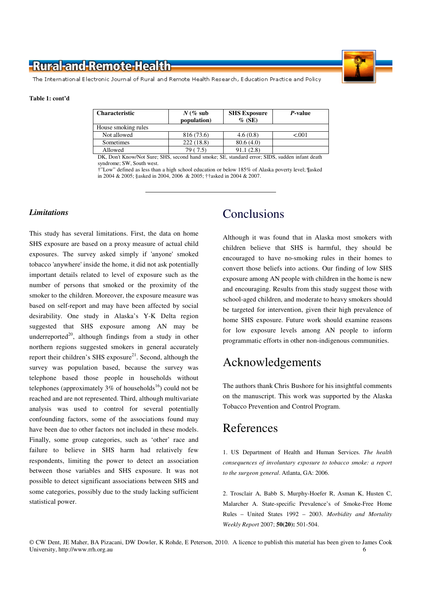

The International Electronic Journal of Rural and Remote Health Research, Education Practice and Policy

#### **Table 1: cont'd**

| <b>Characteristic</b>                         | $N$ (% sub<br>population) | <b>SHS Exposure</b><br>$\%$ (SE)      | <i>P</i> -value                       |
|-----------------------------------------------|---------------------------|---------------------------------------|---------------------------------------|
| House smoking rules                           |                           |                                       |                                       |
| Not allowed                                   | 816 (73.6)                | 4.6(0.8)                              | < 0.001                               |
| Sometimes                                     | 222(18.8)                 | 80.6(4.0)                             |                                       |
| Allowed                                       | 79 (7.5)                  | 91.1(2.8)                             |                                       |
| $\sim$ $\sim$ $\sim$<br>$\sim$ $\sim$<br>$-1$ | .                         | $\sim$ $\sim$ $\sim$<br>$\sim$ $\sim$ | $\cdot$ $\cdot$<br>$\sim$ $\sim$<br>. |

DK, Don't Know/Not Sure; SHS, second hand smoke; SE, standard error; SIDS, sudden infant death syndrome; SW, South west.

†"Low" defined as less than a high school education or below 185% of Alaska poverty level; ¶asked in 2004 & 2005; §asked in 2004, 2006 & 2005; ††asked in 2004 & 2007.

### *Limitations*

This study has several limitations. First, the data on home SHS exposure are based on a proxy measure of actual child exposures. The survey asked simply if 'anyone' smoked tobacco 'anywhere' inside the home, it did not ask potentially important details related to level of exposure such as the number of persons that smoked or the proximity of the smoker to the children. Moreover, the exposure measure was based on self-report and may have been affected by social desirability. One study in Alaska's Y-K Delta region suggested that SHS exposure among AN may be underreported<sup>20</sup>, although findings from a study in other northern regions suggested smokers in general accurately report their children's SHS exposure<sup>21</sup>. Second, although the survey was population based, because the survey was telephone based those people in households without telephones (approximately  $3\%$  of households<sup>16</sup>) could not be reached and are not represented. Third, although multivariate analysis was used to control for several potentially confounding factors, some of the associations found may have been due to other factors not included in these models. Finally, some group categories, such as 'other' race and failure to believe in SHS harm had relatively few respondents, limiting the power to detect an association between those variables and SHS exposure. It was not possible to detect significant associations between SHS and some categories, possibly due to the study lacking sufficient statistical power.

### **Conclusions**

Although it was found that in Alaska most smokers with children believe that SHS is harmful, they should be encouraged to have no-smoking rules in their homes to convert those beliefs into actions. Our finding of low SHS exposure among AN people with children in the home is new and encouraging. Results from this study suggest those with school-aged children, and moderate to heavy smokers should be targeted for intervention, given their high prevalence of home SHS exposure. Future work should examine reasons for low exposure levels among AN people to inform programmatic efforts in other non-indigenous communities.

### Acknowledgements

The authors thank Chris Bushore for his insightful comments on the manuscript. This work was supported by the Alaska Tobacco Prevention and Control Program.

### References

1. US Department of Health and Human Services. *The health consequences of involuntary exposure to tobacco smoke: a report to the surgeon general*. Atlanta, GA: 2006.

2. Trosclair A, Babb S, Murphy-Hoefer R, Asman K, Husten C, Malarcher A. State-specific Prevalence's of Smoke-Free Home Rules – United States 1992 – 2003. *Morbidity and Mortality Weekly Report* 2007; **50(20):** 501-504.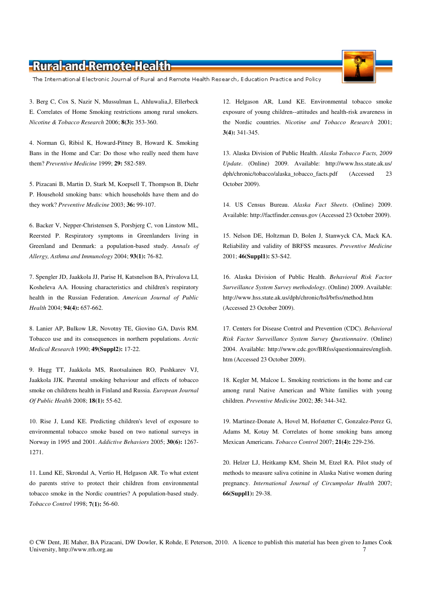The International Electronic Journal of Rural and Remote Health Research, Education Practice and Policy

3. Berg C, Cox S, Nazir N, Mussulman L, Ahluwalia,J, Ellerbeck E. Correlates of Home Smoking restrictions among rural smokers. *Nicotine & Tobacco Research* 2006; **8(3):** 353-360.

4. Norman G, Ribisl K, Howard-Pitney B, Howard K. Smoking Bans in the Home and Car: Do those who really need them have them? *Preventive Medicine* 1999; **29:** 582-589.

5. Pizacani B, Martin D, Stark M, Koepsell T, Thompson B, Diehr P. Household smoking bans: which households have them and do they work? *Preventive Medicine* 2003; **36:** 99-107.

6. Backer V, Nepper-Christensen S, Porsbjerg C, von Linstow ML, Reersted P. Respiratory symptoms in Greenlanders living in Greenland and Denmark: a population-based study. *Annals of Allergy, Asthma and Immunology* 2004; **93(1):** 76-82.

7. Spengler JD, Jaakkola JJ, Parise H, Katsnelson BA, Privalova LI, Kosheleva AA. Housing characteristics and children's respiratory health in the Russian Federation. *American Journal of Public Health* 2004; **94(4):** 657-662.

8. Lanier AP, Bulkow LR, Novotny TE, Giovino GA, Davis RM. Tobacco use and its consequences in northern populations. *Arctic Medical Research* 1990; **49(Suppl2):** 17-22.

9. Hugg TT, Jaakkola MS, Ruotsalainen RO, Pushkarev VJ, Jaakkola JJK. Parental smoking behaviour and effects of tobacco smoke on childrens health in Finland and Russia. *European Journal Of Public Health* 2008; **18(1):** 55-62.

10. Rise J, Lund KE. Predicting children's level of exposure to environmental tobacco smoke based on two national surveys in Norway in 1995 and 2001. *Addictive Behaviors* 2005; **30(6):** 1267- 1271.

11. Lund KE, Skrondal A, Vertio H, Helgason AR. To what extent do parents strive to protect their children from environmental tobacco smoke in the Nordic countries? A population-based study. *Tobacco Control* 1998; **7(1):** 56-60.

12. Helgason AR, Lund KE. Environmental tobacco smoke exposure of young children--attitudes and health-risk awareness in the Nordic countries. *Nicotine and Tobacco Research* 2001; **3(4):** 341-345.

13. Alaska Division of Public Health. *Alaska Tobacco Facts, 2009 Update*. (Online) 2009. Available: http://www.hss.state.ak.us/ dph/chronic/tobacco/alaska\_tobacco\_facts.pdf (Accessed 23 October 2009).

14. US Census Bureau. *Alaska Fact Sheets*. (Online) 2009. Available: http://factfinder.census.gov (Accessed 23 October 2009).

15. Nelson DE, Holtzman D, Bolen J, Stanwyck CA, Mack KA. Reliability and validity of BRFSS measures. *Preventive Medicine* 2001; **46(Suppl1):** S3-S42.

16. Alaska Division of Public Health. *Behavioral Risk Factor Surveillance System Survey methodology*. (Online) 2009. Available: http://www.hss.state.ak.us/dph/chronic/hsl/brfss/method.htm (Accessed 23 October 2009).

17. Centers for Disease Control and Prevention (CDC). *Behavioral Risk Factor Surveillance System Survey Questionnaire*. (Online) 2004. Available: http://www.cdc.gov/BRfss/questionnaires/english. htm (Accessed 23 October 2009).

18. Kegler M, Malcoe L. Smoking restrictions in the home and car among rural Native American and White families with young children. *Preventive Medicine* 2002; **35:** 344-342.

19. Martinez-Donate A, Hovel M, Hofstetter C, Gonzalez-Perez G, Adams M, Kotay M. Correlates of home smoking bans among Mexican Americans. *Tobacco Control* 2007; **21(4):** 229-236.

20. Helzer LJ, Heitkamp KM, Shein M, Etzel RA. Pilot study of methods to measure saliva cotinine in Alaska Native women during pregnancy. *International Journal of Circumpolar Health* 2007; **66(Suppl1):** 29-38.